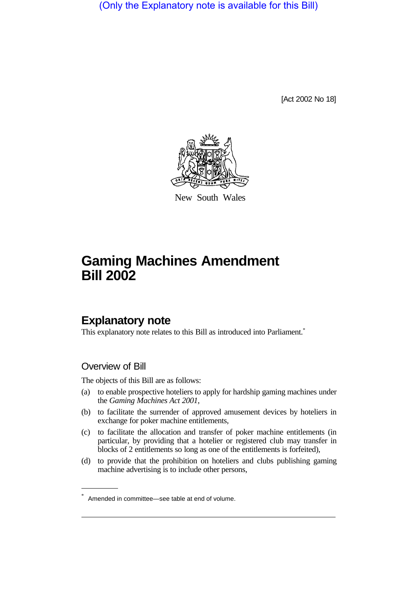(Only the Explanatory note is available for this Bill)

[Act 2002 No 18]



New South Wales

# **Gaming Machines Amendment Bill 2002**

# **Explanatory note**

This explanatory note relates to this Bill as introduced into Parliament.<sup>\*</sup>

# Overview of Bill

The objects of this Bill are as follows:

- (a) to enable prospective hoteliers to apply for hardship gaming machines under the *Gaming Machines Act 2001*,
- (b) to facilitate the surrender of approved amusement devices by hoteliers in exchange for poker machine entitlements,
- (c) to facilitate the allocation and transfer of poker machine entitlements (in particular, by providing that a hotelier or registered club may transfer in blocks of 2 entitlements so long as one of the entitlements is forfeited),
- (d) to provide that the prohibition on hoteliers and clubs publishing gaming machine advertising is to include other persons,

Amended in committee—see table at end of volume.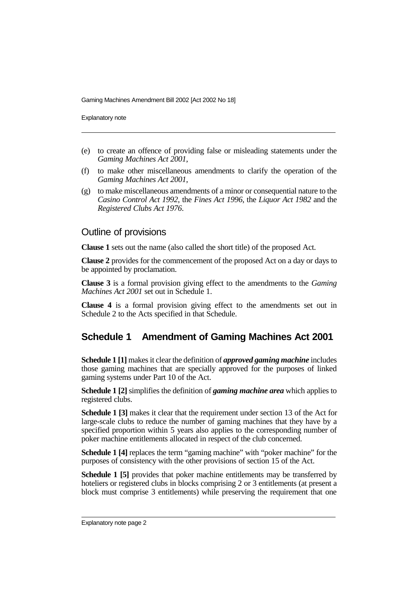Explanatory note

- (e) to create an offence of providing false or misleading statements under the *Gaming Machines Act 2001*,
- (f) to make other miscellaneous amendments to clarify the operation of the *Gaming Machines Act 2001*,
- (g) to make miscellaneous amendments of a minor or consequential nature to the *Casino Control Act 1992*, the *Fines Act 1996*, the *Liquor Act 1982* and the *Registered Clubs Act 1976*.

#### Outline of provisions

**Clause 1** sets out the name (also called the short title) of the proposed Act.

**Clause 2** provides for the commencement of the proposed Act on a day or days to be appointed by proclamation.

**Clause 3** is a formal provision giving effect to the amendments to the *Gaming Machines Act 2001* set out in Schedule 1.

**Clause 4** is a formal provision giving effect to the amendments set out in Schedule 2 to the Acts specified in that Schedule.

# **Schedule 1 Amendment of Gaming Machines Act 2001**

**Schedule 1 [1]** makes it clear the definition of *approved gaming machine* includes those gaming machines that are specially approved for the purposes of linked gaming systems under Part 10 of the Act.

**Schedule 1 [2]**simplifies the definition of *gaming machine area* which applies to registered clubs.

**Schedule 1 [3]** makes it clear that the requirement under section 13 of the Act for large-scale clubs to reduce the number of gaming machines that they have by a specified proportion within 5 years also applies to the corresponding number of poker machine entitlements allocated in respect of the club concerned.

**Schedule 1 [4]** replaces the term "gaming machine" with "poker machine" for the purposes of consistency with the other provisions of section 15 of the Act.

**Schedule 1 [5]** provides that poker machine entitlements may be transferred by hoteliers or registered clubs in blocks comprising 2 or 3 entitlements (at present a block must comprise 3 entitlements) while preserving the requirement that one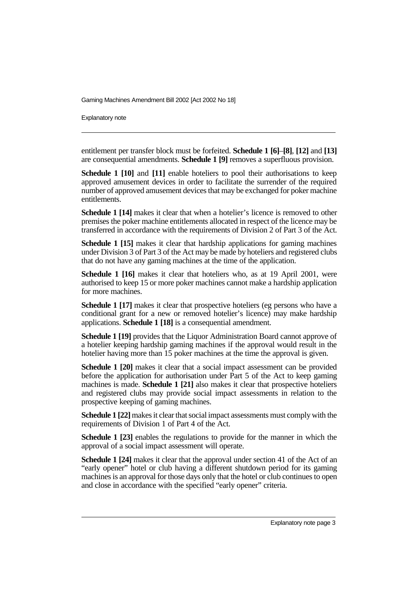Explanatory note

entitlement per transfer block must be forfeited. **Schedule 1 [6]**–**[8]**, **[12]** and **[13]** are consequential amendments. **Schedule 1 [9]** removes a superfluous provision.

**Schedule 1 [10]** and **[11]** enable hoteliers to pool their authorisations to keep approved amusement devices in order to facilitate the surrender of the required number of approved amusement devices that may be exchanged for poker machine entitlements.

**Schedule 1 [14]** makes it clear that when a hotelier's licence is removed to other premises the poker machine entitlements allocated in respect of the licence may be transferred in accordance with the requirements of Division 2 of Part 3 of the Act.

**Schedule 1 [15]** makes it clear that hardship applications for gaming machines under Division 3 of Part 3 of the Act may be made by hoteliers and registered clubs that do not have any gaming machines at the time of the application.

**Schedule 1 [16]** makes it clear that hoteliers who, as at 19 April 2001, were authorised to keep 15 or more poker machines cannot make a hardship application for more machines.

**Schedule 1 [17]** makes it clear that prospective hoteliers (eg persons who have a conditional grant for a new or removed hotelier's licence) may make hardship applications. **Schedule 1 [18]** is a consequential amendment.

**Schedule 1 [19]** provides that the Liquor Administration Board cannot approve of a hotelier keeping hardship gaming machines if the approval would result in the hotelier having more than 15 poker machines at the time the approval is given.

**Schedule 1 [20]** makes it clear that a social impact assessment can be provided before the application for authorisation under Part 5 of the Act to keep gaming machines is made. **Schedule 1 [21]** also makes it clear that prospective hoteliers and registered clubs may provide social impact assessments in relation to the prospective keeping of gaming machines.

**Schedule 1 [22]**makes it clear that social impact assessments must comply with the requirements of Division 1 of Part 4 of the Act.

**Schedule 1 [23]** enables the regulations to provide for the manner in which the approval of a social impact assessment will operate.

**Schedule 1 [24]** makes it clear that the approval under section 41 of the Act of an "early opener" hotel or club having a different shutdown period for its gaming machines is an approval for those days only that the hotel or club continues to open and close in accordance with the specified "early opener" criteria.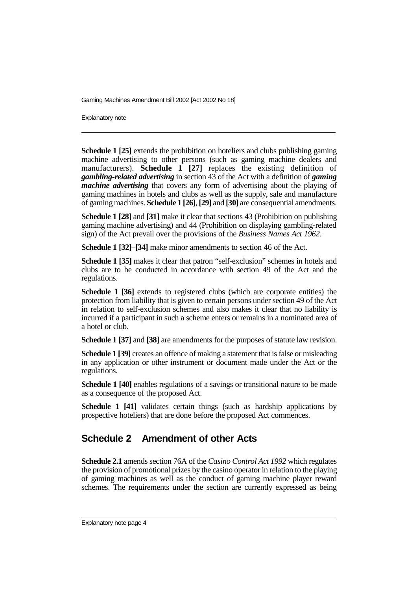Explanatory note

**Schedule 1 [25]** extends the prohibition on hoteliers and clubs publishing gaming machine advertising to other persons (such as gaming machine dealers and manufacturers). **Schedule 1 [27]** replaces the existing definition of *gambling-related advertising* in section 43 of the Act with a definition of *gaming machine advertising* that covers any form of advertising about the playing of gaming machines in hotels and clubs as well as the supply, sale and manufacture of gaming machines. **Schedule 1 [26]**,**[29]** and **[30]** are consequential amendments.

**Schedule 1 [28]** and **[31]** make it clear that sections 43 (Prohibition on publishing gaming machine advertising) and 44 (Prohibition on displaying gambling-related sign) of the Act prevail over the provisions of the *Business Names Act 1962*.

**Schedule 1 [32]**–**[34]** make minor amendments to section 46 of the Act.

**Schedule 1 [35]** makes it clear that patron "self-exclusion" schemes in hotels and clubs are to be conducted in accordance with section 49 of the Act and the regulations.

**Schedule 1 [36]** extends to registered clubs (which are corporate entities) the protection from liability that is given to certain persons under section 49 of the Act in relation to self-exclusion schemes and also makes it clear that no liability is incurred if a participant in such a scheme enters or remains in a nominated area of a hotel or club.

**Schedule 1 [37]** and **[38]** are amendments for the purposes of statute law revision.

**Schedule 1 [39]** creates an offence of making a statement that is false or misleading in any application or other instrument or document made under the Act or the regulations.

**Schedule 1 [40]** enables regulations of a savings or transitional nature to be made as a consequence of the proposed Act.

**Schedule 1 [41]** validates certain things (such as hardship applications by prospective hoteliers) that are done before the proposed Act commences.

# **Schedule 2 Amendment of other Acts**

**Schedule 2.1** amends section 76A of the *Casino Control Act 1992* which regulates the provision of promotional prizes by the casino operator in relation to the playing of gaming machines as well as the conduct of gaming machine player reward schemes. The requirements under the section are currently expressed as being